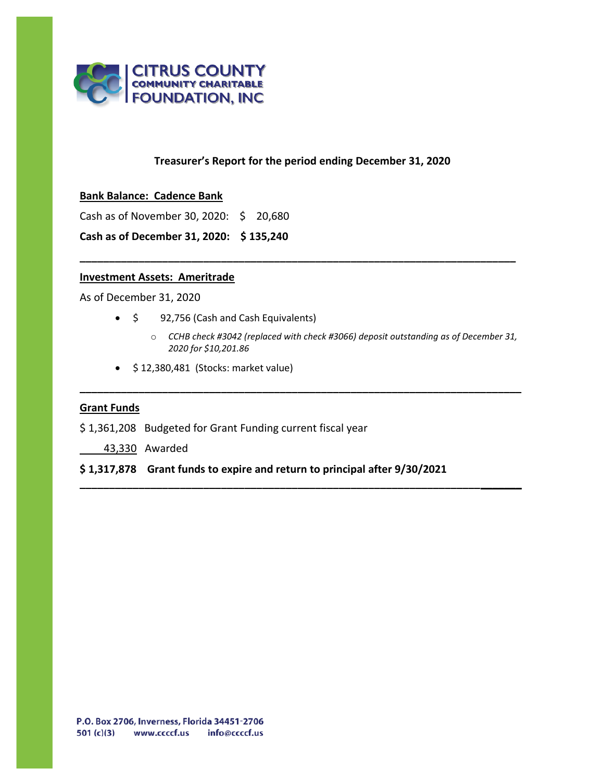

## **Treasurer's Report for the period ending December 31, 2020**

**\_\_\_\_\_\_\_\_\_\_\_\_\_\_\_\_\_\_\_\_\_\_\_\_\_\_\_\_\_\_\_\_\_\_\_\_\_\_\_\_\_\_\_\_\_\_\_\_\_\_\_\_\_\_\_\_\_\_\_\_\_\_\_\_\_\_\_\_\_\_\_\_\_\_**

**\_\_\_\_\_\_\_\_\_\_\_\_\_\_\_\_\_\_\_\_\_\_\_\_\_\_\_\_\_\_\_\_\_\_\_\_\_\_\_\_\_\_\_\_\_\_\_\_\_\_\_\_\_\_\_\_\_\_\_\_\_\_\_\_\_\_\_\_\_\_\_\_\_\_\_**

**\_\_\_\_\_\_\_\_\_\_\_\_\_\_\_\_\_\_\_\_\_\_\_\_\_\_\_\_\_\_\_\_\_\_\_\_\_\_\_\_\_\_\_\_\_\_\_\_\_\_\_\_\_\_\_\_\_\_\_\_\_\_\_\_\_\_\_\_\_\_\_\_\_\_\_**

### **Bank Balance: Cadence Bank**

Cash as of November 30, 2020: \$ 20,680

**Cash as of December 31, 2020: \$ 135,240**

### **Investment Assets: Ameritrade**

As of December 31, 2020

- \$ 92,756 (Cash and Cash Equivalents)
	- o *CCHB check #3042 (replaced with check #3066) deposit outstanding as of December 31, 2020 for \$10,201.86*
- \$ 12,380,481 (Stocks: market value)

# **Grant Funds**

- \$ 1,361,208 Budgeted for Grant Funding current fiscal year
	- 43,330 Awarded

## **\$ 1,317,878 Grant funds to expire and return to principal after 9/30/2021**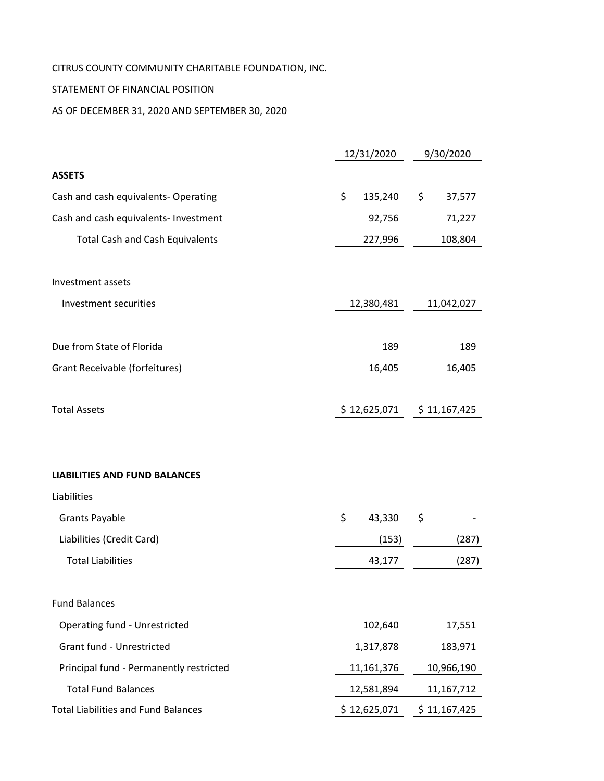# CITRUS COUNTY COMMUNITY CHARITABLE FOUNDATION, INC.

# STATEMENT OF FINANCIAL POSITION

AS OF DECEMBER 31, 2020 AND SEPTEMBER 30, 2020

|                                            | 12/31/2020    | 9/30/2020    |  |  |
|--------------------------------------------|---------------|--------------|--|--|
| <b>ASSETS</b>                              |               |              |  |  |
| Cash and cash equivalents- Operating       | \$<br>135,240 | \$<br>37,577 |  |  |
| Cash and cash equivalents- Investment      | 92,756        | 71,227       |  |  |
| <b>Total Cash and Cash Equivalents</b>     | 227,996       | 108,804      |  |  |
| Investment assets                          |               |              |  |  |
| Investment securities                      | 12,380,481    | 11,042,027   |  |  |
| Due from State of Florida                  | 189           | 189          |  |  |
| <b>Grant Receivable (forfeitures)</b>      | 16,405        | 16,405       |  |  |
| <b>Total Assets</b>                        | \$12,625,071  | \$11,167,425 |  |  |
| <b>LIABILITIES AND FUND BALANCES</b>       |               |              |  |  |
| Liabilities                                |               |              |  |  |
| <b>Grants Payable</b>                      | \$<br>43,330  | \$           |  |  |
| Liabilities (Credit Card)                  | (153)         | (287)        |  |  |
| <b>Total Liabilities</b>                   | 43,177        | (287)        |  |  |
| <b>Fund Balances</b>                       |               |              |  |  |
| <b>Operating fund - Unrestricted</b>       | 102,640       | 17,551       |  |  |
| Grant fund - Unrestricted                  | 1,317,878     | 183,971      |  |  |
| Principal fund - Permanently restricted    | 11,161,376    | 10,966,190   |  |  |
| <b>Total Fund Balances</b>                 | 12,581,894    | 11,167,712   |  |  |
| <b>Total Liabilities and Fund Balances</b> | \$12,625,071  | \$11,167,425 |  |  |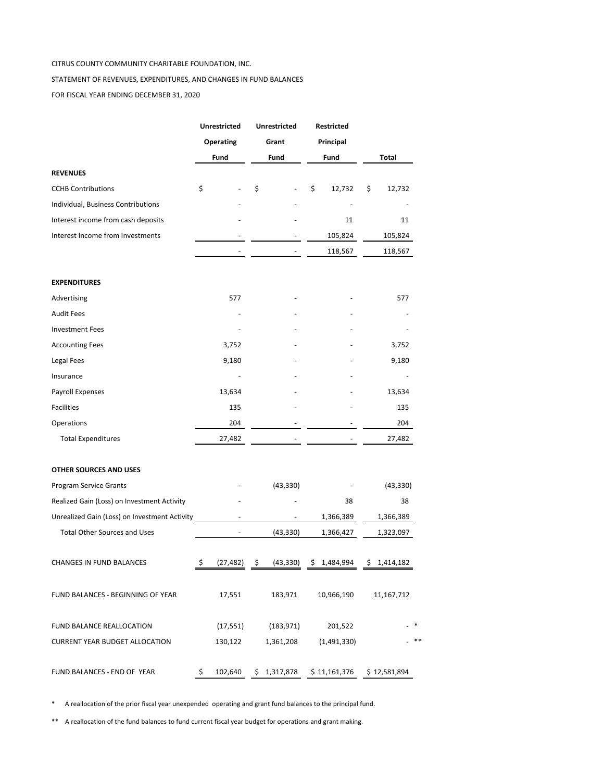#### CITRUS COUNTY COMMUNITY CHARITABLE FOUNDATION, INC.

#### STATEMENT OF REVENUES, EXPENDITURES, AND CHANGES IN FUND BALANCES

FOR FISCAL YEAR ENDING DECEMBER 31, 2020

|                                               | <b>Unrestricted</b><br>Operating |           | <b>Unrestricted</b><br>Grant |             | Restricted<br>Principal |              |              |
|-----------------------------------------------|----------------------------------|-----------|------------------------------|-------------|-------------------------|--------------|--------------|
|                                               |                                  |           |                              |             |                         |              |              |
|                                               |                                  | Fund      |                              | Fund        |                         | Fund         | Total        |
| <b>REVENUES</b>                               |                                  |           |                              |             |                         |              |              |
| <b>CCHB Contributions</b>                     | \$                               |           | \$                           |             | \$                      | 12,732       | \$<br>12,732 |
| Individual, Business Contributions            |                                  |           |                              |             |                         |              |              |
| Interest income from cash deposits            |                                  |           |                              |             |                         | 11           | 11           |
| Interest Income from Investments              |                                  |           |                              |             |                         | 105,824      | 105,824      |
|                                               |                                  |           |                              |             |                         | 118,567      | 118,567      |
| <b>EXPENDITURES</b>                           |                                  |           |                              |             |                         |              |              |
| Advertising                                   |                                  | 577       |                              |             |                         |              | 577          |
| <b>Audit Fees</b>                             |                                  |           |                              |             |                         |              |              |
| <b>Investment Fees</b>                        |                                  |           |                              |             |                         |              |              |
| <b>Accounting Fees</b>                        |                                  | 3,752     |                              |             |                         |              | 3,752        |
| Legal Fees                                    |                                  | 9,180     |                              |             |                         |              | 9,180        |
| Insurance                                     |                                  |           |                              |             |                         |              |              |
| Payroll Expenses                              |                                  | 13,634    |                              |             |                         |              | 13,634       |
| <b>Facilities</b>                             |                                  | 135       |                              |             |                         |              | 135          |
| Operations                                    |                                  | 204       |                              |             |                         |              | 204          |
| <b>Total Expenditures</b>                     |                                  | 27,482    |                              |             |                         |              | 27,482       |
| <b>OTHER SOURCES AND USES</b>                 |                                  |           |                              |             |                         |              |              |
| <b>Program Service Grants</b>                 |                                  |           |                              | (43, 330)   |                         |              | (43, 330)    |
| Realized Gain (Loss) on Investment Activity   |                                  |           |                              |             |                         | 38           | 38           |
| Unrealized Gain (Loss) on Investment Activity |                                  |           |                              |             |                         | 1,366,389    | 1,366,389    |
| <b>Total Other Sources and Uses</b>           |                                  |           |                              | (43, 330)   |                         | 1,366,427    | 1,323,097    |
| CHANGES IN FUND BALANCES                      | \$                               | (27, 482) | Š.                           | (43, 330)   | s                       | 1,484,994    | \$1,414,182  |
| FUND BALANCES - BEGINNING OF YEAR             |                                  | 17,551    |                              | 183,971     |                         | 10,966,190   | 11,167,712   |
| FUND BALANCE REALLOCATION                     |                                  | (17, 551) |                              | (183, 971)  |                         | 201,522      |              |
| <b>CURRENT YEAR BUDGET ALLOCATION</b>         |                                  | 130,122   |                              | 1,361,208   |                         | (1,491,330)  |              |
| FUND BALANCES - END OF YEAR                   | \$                               | 102,640   |                              | \$1,317,878 |                         | \$11,161,376 | \$12,581,894 |

\* A reallocation of the prior fiscal year unexpended operating and grant fund balances to the principal fund.

\*\* A reallocation of the fund balances to fund current fiscal year budget for operations and grant making.